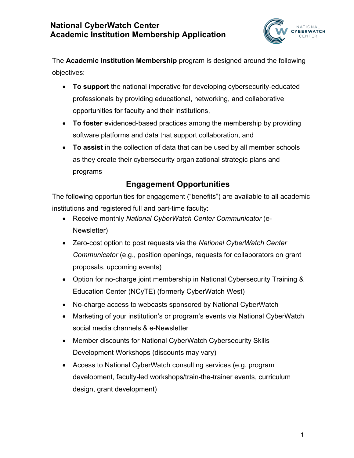

The **Academic Institution Membership** program is designed around the following objectives:

- **To support** the national imperative for developing cybersecurity-educated professionals by providing educational, networking, and collaborative opportunities for faculty and their institutions,
- **To foster** evidenced-based practices among the membership by providing software platforms and data that support collaboration, and
- **To assist** in the collection of data that can be used by all member schools as they create their cybersecurity organizational strategic plans and programs

# **Engagement Opportunities**

The following opportunities for engagement ("benefits") are available to all academic institutions and registered full and part-time faculty:

- Receive monthly *National CyberWatch Center Communicator* (e-Newsletter)
- Zero-cost option to post requests via the *National CyberWatch Center Communicator* (e.g., position openings, requests for collaborators on grant proposals, upcoming events)
- Option for no-charge joint membership in National Cybersecurity Training & Education Center (NCyTE) (formerly CyberWatch West)
- No-charge access to webcasts sponsored by National CyberWatch
- Marketing of your institution's or program's events via National CyberWatch social media channels & e-Newsletter
- Member discounts for National CyberWatch Cybersecurity Skills Development Workshops (discounts may vary)
- Access to National CyberWatch consulting services (e.g. program development, faculty-led workshops/train-the-trainer events, curriculum design, grant development)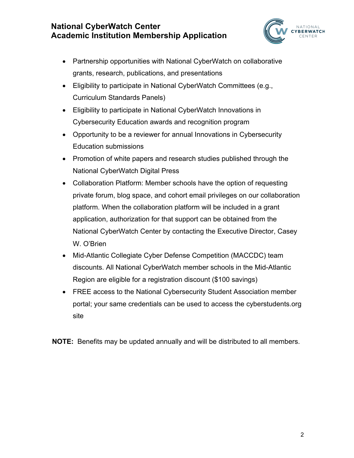

- Partnership opportunities with National CyberWatch on collaborative grants, research, publications, and presentations
- Eligibility to participate in National CyberWatch Committees (e.g., Curriculum Standards Panels)
- Eligibility to participate in National CyberWatch Innovations in Cybersecurity Education awards and recognition program
- Opportunity to be a reviewer for annual Innovations in Cybersecurity Education submissions
- Promotion of white papers and research studies published through the National CyberWatch Digital Press
- Collaboration Platform: Member schools have the option of requesting private forum, blog space, and cohort email privileges on our collaboration platform. When the collaboration platform will be included in a grant application, authorization for that support can be obtained from the National CyberWatch Center by contacting the Executive Director, Casey W. O'Brien
- Mid-Atlantic Collegiate Cyber Defense Competition (MACCDC) team discounts. All National CyberWatch member schools in the Mid-Atlantic Region are eligible for a registration discount (\$100 savings)
- FREE access to the National Cybersecurity Student Association member portal; your same credentials can be used to access the cyberstudents.org site

**NOTE:** Benefits may be updated annually and will be distributed to all members.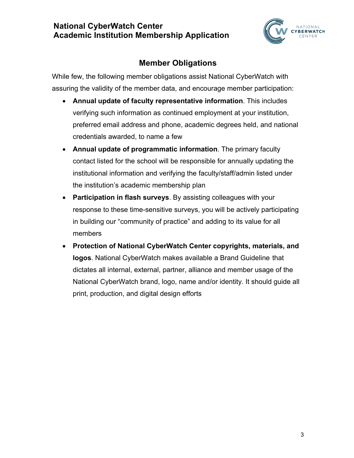

## **Member Obligations**

While few, the following member obligations assist National CyberWatch with assuring the validity of the member data, and encourage member participation:

- **Annual update of faculty representative information**. This includes verifying such information as continued employment at your institution, preferred email address and phone, academic degrees held, and national credentials awarded, to name a few
- **Annual update of programmatic information**. The primary faculty contact listed for the school will be responsible for annually updating the institutional information and verifying the faculty/staff/admin listed under the institution's academic membership plan
- **Participation in flash surveys**. By assisting colleagues with your response to these time-sensitive surveys, you will be actively participating in building our "community of practice" and adding to its value for all members
- **Protection of National CyberWatch Center copyrights, materials, and logos**. National CyberWatch makes available a Brand Guideline that dictates all internal, external, partner, alliance and member usage of the National CyberWatch brand, logo, name and/or identity. It should guide all print, production, and digital design efforts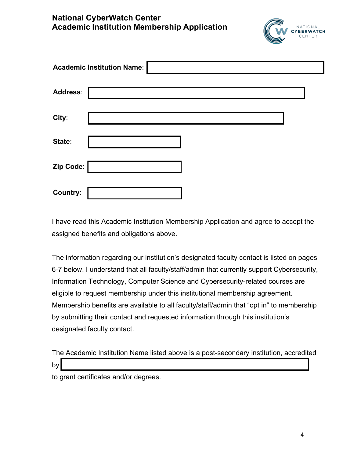

| <b>Academic Institution Name:</b> |  |  |  |  |  |
|-----------------------------------|--|--|--|--|--|
| <b>Address:</b>                   |  |  |  |  |  |
| City:                             |  |  |  |  |  |
| State:                            |  |  |  |  |  |
| Zip Code:                         |  |  |  |  |  |
| Country:                          |  |  |  |  |  |

I have read this Academic Institution Membership Application and agree to accept the assigned benefits and obligations above.

The information regarding our institution's designated faculty contact is listed on pages 6-7 below. I understand that all faculty/staff/admin that currently support Cybersecurity, Information Technology, Computer Science and Cybersecurity-related courses are eligible to request membership under this institutional membership agreement. Membership benefits are available to all faculty/staff/admin that "opt in" to membership by submitting their contact and requested information through this institution's designated faculty contact.

|        | The Academic Institution Name listed above is a post-secondary institution, accredited |  |
|--------|----------------------------------------------------------------------------------------|--|
| $b\nu$ |                                                                                        |  |
|        |                                                                                        |  |

to grant certificates and/or degrees.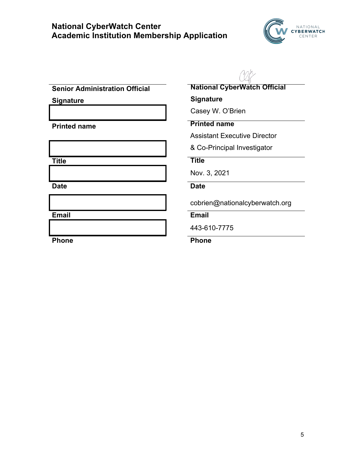

**Senior Administration Official** 

**Signature** 

**Date Date** 

**National CyberWatch Official** 

**Signature**

Casey W. O'Brien

## **Printed name Printed name**

Assistant Executive Director

& Co-Principal Investigator

#### **Title Title**

Nov. 3, 2021

cobrien@nationalcyberwatch.org

**Email Email** 

443-610-7775

#### Phone **Phone Phone**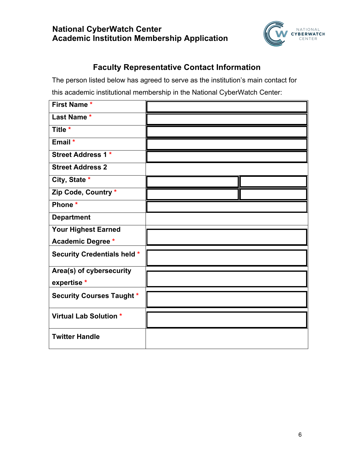

## **Faculty Representative Contact Information**

The person listed below has agreed to serve as the institution's main contact for this academic institutional membership in the National CyberWatch Center:

| First Name*                        |  |
|------------------------------------|--|
| Last Name*                         |  |
| Title *                            |  |
| Email *                            |  |
| <b>Street Address 1 *</b>          |  |
| <b>Street Address 2</b>            |  |
| City, State *                      |  |
| Zip Code, Country *                |  |
| Phone *                            |  |
| <b>Department</b>                  |  |
| <b>Your Highest Earned</b>         |  |
| <b>Academic Degree *</b>           |  |
| <b>Security Credentials held *</b> |  |
| Area(s) of cybersecurity           |  |
| expertise*                         |  |
| <b>Security Courses Taught *</b>   |  |
| <b>Virtual Lab Solution *</b>      |  |
| <b>Twitter Handle</b>              |  |